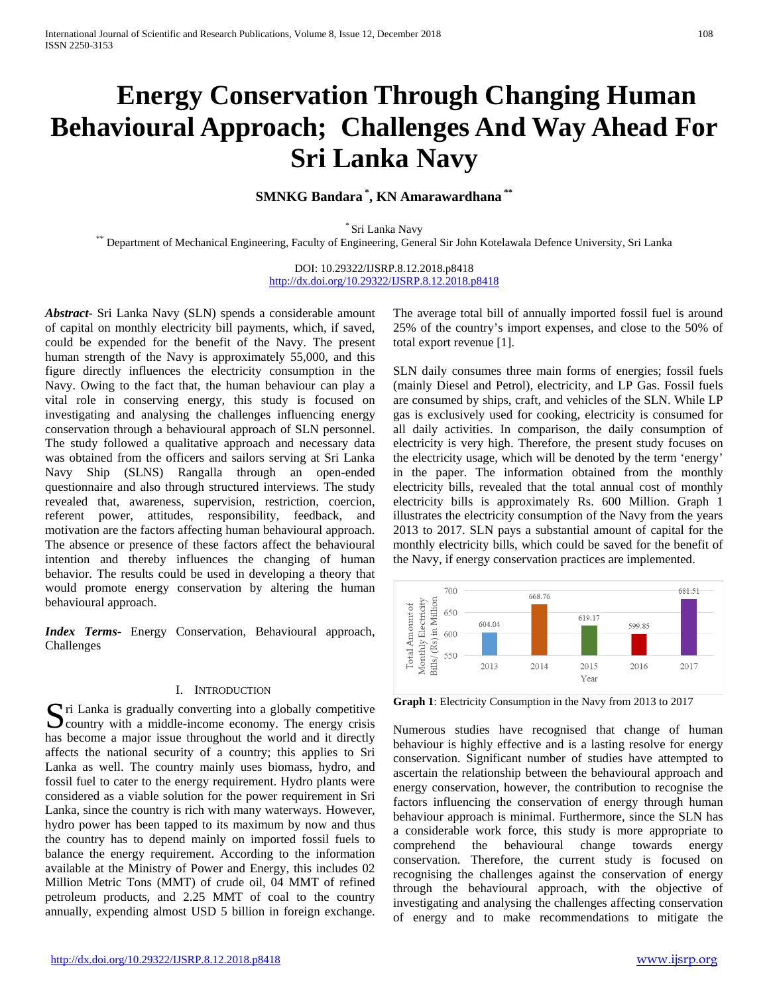# **Energy Conservation Through Changing Human Behavioural Approach; Challenges And Way Ahead For Sri Lanka Navy**

**SMNKG Bandara \* , KN Amarawardhana \*\***

\* Sri Lanka Navy \*\* Department of Mechanical Engineering, Faculty of Engineering, General Sir John Kotelawala Defence University, Sri Lanka

DOI: 10.29322/IJSRP.8.12.2018.p8418 <http://dx.doi.org/10.29322/IJSRP.8.12.2018.p8418>

*Abstract***-** Sri Lanka Navy (SLN) spends a considerable amount of capital on monthly electricity bill payments, which, if saved, could be expended for the benefit of the Navy. The present human strength of the Navy is approximately 55,000, and this figure directly influences the electricity consumption in the Navy. Owing to the fact that, the human behaviour can play a vital role in conserving energy, this study is focused on investigating and analysing the challenges influencing energy conservation through a behavioural approach of SLN personnel. The study followed a qualitative approach and necessary data was obtained from the officers and sailors serving at Sri Lanka Navy Ship (SLNS) Rangalla through an open-ended questionnaire and also through structured interviews. The study revealed that, awareness, supervision, restriction, coercion, referent power, attitudes, responsibility, feedback, and motivation are the factors affecting human behavioural approach. The absence or presence of these factors affect the behavioural intention and thereby influences the changing of human behavior. The results could be used in developing a theory that would promote energy conservation by altering the human behavioural approach.

*Index Terms*- Energy Conservation, Behavioural approach, Challenges

#### I. INTRODUCTION

ri Lanka is gradually converting into a globally competitive Since I Lanka is gradually converting into a globally competitive country with a middle-income economy. The energy crisis has become a major issue throughout the world and it directly affects the national security of a country; this applies to Sri Lanka as well. The country mainly uses biomass, hydro, and fossil fuel to cater to the energy requirement. Hydro plants were considered as a viable solution for the power requirement in Sri Lanka, since the country is rich with many waterways. However, hydro power has been tapped to its maximum by now and thus the country has to depend mainly on imported fossil fuels to balance the energy requirement. According to the information available at the Ministry of Power and Energy, this includes 02 Million Metric Tons (MMT) of crude oil, 04 MMT of refined petroleum products, and 2.25 MMT of coal to the country annually, expending almost USD 5 billion in foreign exchange.

The average total bill of annually imported fossil fuel is around 25% of the country's import expenses, and close to the 50% of total export revenue [1].

SLN daily consumes three main forms of energies; fossil fuels (mainly Diesel and Petrol), electricity, and LP Gas. Fossil fuels are consumed by ships, craft, and vehicles of the SLN. While LP gas is exclusively used for cooking, electricity is consumed for all daily activities. In comparison, the daily consumption of electricity is very high. Therefore, the present study focuses on the electricity usage, which will be denoted by the term 'energy' in the paper. The information obtained from the monthly electricity bills, revealed that the total annual cost of monthly electricity bills is approximately Rs. 600 Million. Graph 1 illustrates the electricity consumption of the Navy from the years 2013 to 2017. SLN pays a substantial amount of capital for the monthly electricity bills, which could be saved for the benefit of the Navy, if energy conservation practices are implemented.



**Graph 1**: Electricity Consumption in the Navy from 2013 to 2017

Numerous studies have recognised that change of human behaviour is highly effective and is a lasting resolve for energy conservation. Significant number of studies have attempted to ascertain the relationship between the behavioural approach and energy conservation, however, the contribution to recognise the factors influencing the conservation of energy through human behaviour approach is minimal. Furthermore, since the SLN has a considerable work force, this study is more appropriate to comprehend the behavioural change towards energy conservation. Therefore, the current study is focused on recognising the challenges against the conservation of energy through the behavioural approach, with the objective of investigating and analysing the challenges affecting conservation of energy and to make recommendations to mitigate the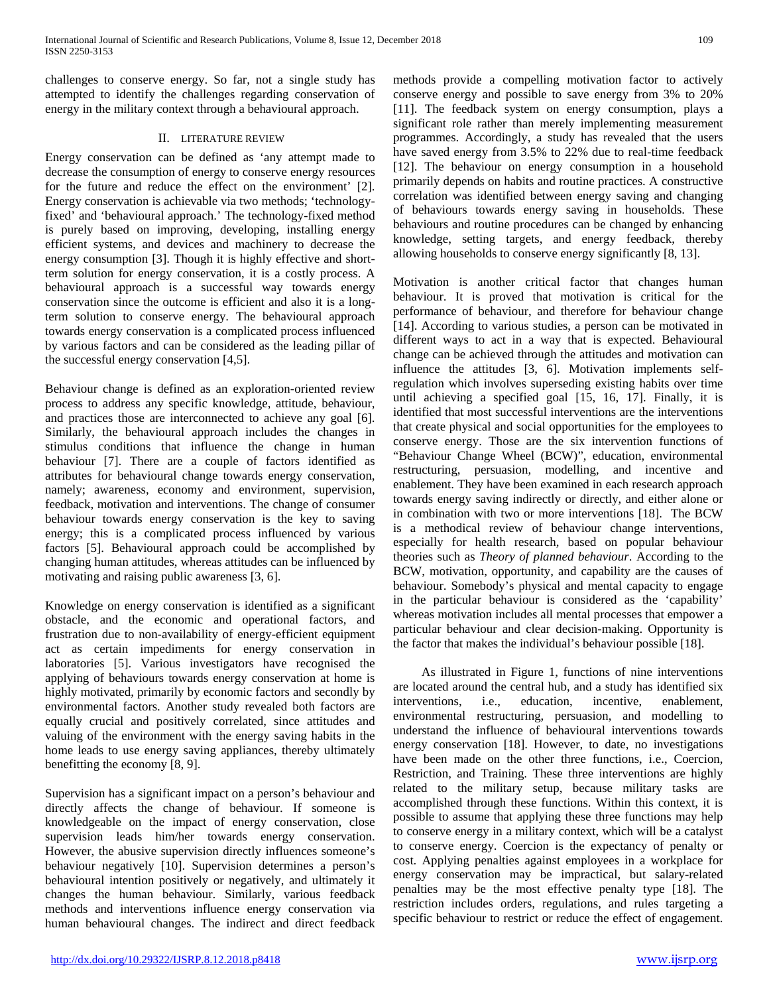challenges to conserve energy. So far, not a single study has attempted to identify the challenges regarding conservation of energy in the military context through a behavioural approach.

# II. LITERATURE REVIEW

Energy conservation can be defined as 'any attempt made to decrease the consumption of energy to conserve energy resources for the future and reduce the effect on the environment' [2]. Energy conservation is achievable via two methods; 'technologyfixed' and 'behavioural approach.' The technology-fixed method is purely based on improving, developing, installing energy efficient systems, and devices and machinery to decrease the energy consumption [3]. Though it is highly effective and shortterm solution for energy conservation, it is a costly process. A behavioural approach is a successful way towards energy conservation since the outcome is efficient and also it is a longterm solution to conserve energy. The behavioural approach towards energy conservation is a complicated process influenced by various factors and can be considered as the leading pillar of the successful energy conservation [4,5].

Behaviour change is defined as an exploration-oriented review process to address any specific knowledge, attitude, behaviour, and practices those are interconnected to achieve any goal [6]. Similarly, the behavioural approach includes the changes in stimulus conditions that influence the change in human behaviour [7]. There are a couple of factors identified as attributes for behavioural change towards energy conservation, namely; awareness, economy and environment, supervision, feedback, motivation and interventions. The change of consumer behaviour towards energy conservation is the key to saving energy; this is a complicated process influenced by various factors [5]. Behavioural approach could be accomplished by changing human attitudes, whereas attitudes can be influenced by motivating and raising public awareness [3, 6].

Knowledge on energy conservation is identified as a significant obstacle, and the economic and operational factors, and frustration due to non-availability of energy-efficient equipment act as certain impediments for energy conservation in laboratories [5]. Various investigators have recognised the applying of behaviours towards energy conservation at home is highly motivated, primarily by economic factors and secondly by environmental factors. Another study revealed both factors are equally crucial and positively correlated, since attitudes and valuing of the environment with the energy saving habits in the home leads to use energy saving appliances, thereby ultimately benefitting the economy [8, 9].

Supervision has a significant impact on a person's behaviour and directly affects the change of behaviour. If someone is knowledgeable on the impact of energy conservation, close supervision leads him/her towards energy conservation. However, the abusive supervision directly influences someone's behaviour negatively [10]. Supervision determines a person's behavioural intention positively or negatively, and ultimately it changes the human behaviour. Similarly, various feedback methods and interventions influence energy conservation via human behavioural changes. The indirect and direct feedback methods provide a compelling motivation factor to actively conserve energy and possible to save energy from 3% to 20% [11]. The feedback system on energy consumption, plays a significant role rather than merely implementing measurement programmes. Accordingly, a study has revealed that the users have saved energy from 3.5% to 22% due to real-time feedback [12]. The behaviour on energy consumption in a household primarily depends on habits and routine practices. A constructive correlation was identified between energy saving and changing of behaviours towards energy saving in households. These behaviours and routine procedures can be changed by enhancing knowledge, setting targets, and energy feedback, thereby allowing households to conserve energy significantly [8, 13].

Motivation is another critical factor that changes human behaviour. It is proved that motivation is critical for the performance of behaviour, and therefore for behaviour change [14]. According to various studies, a person can be motivated in different ways to act in a way that is expected. Behavioural change can be achieved through the attitudes and motivation can influence the attitudes [3, 6]. Motivation implements selfregulation which involves superseding existing habits over time until achieving a specified goal [15, 16, 17]. Finally, it is identified that most successful interventions are the interventions that create physical and social opportunities for the employees to conserve energy. Those are the six intervention functions of "Behaviour Change Wheel (BCW)", education, environmental restructuring, persuasion, modelling, and incentive and enablement. They have been examined in each research approach towards energy saving indirectly or directly, and either alone or in combination with two or more interventions [18]. The BCW is a methodical review of behaviour change interventions, especially for health research, based on popular behaviour theories such as *Theory of planned behaviour*. According to the BCW, motivation, opportunity, and capability are the causes of behaviour. Somebody's physical and mental capacity to engage in the particular behaviour is considered as the 'capability' whereas motivation includes all mental processes that empower a particular behaviour and clear decision-making. Opportunity is the factor that makes the individual's behaviour possible [18].

As illustrated in Figure 1, functions of nine interventions are located around the central hub, and a study has identified six interventions, i.e., education, incentive, enablement, environmental restructuring, persuasion, and modelling to understand the influence of behavioural interventions towards energy conservation [18]. However, to date, no investigations have been made on the other three functions, i.e., Coercion, Restriction, and Training. These three interventions are highly related to the military setup, because military tasks are accomplished through these functions. Within this context, it is possible to assume that applying these three functions may help to conserve energy in a military context, which will be a catalyst to conserve energy. Coercion is the expectancy of penalty or cost. Applying penalties against employees in a workplace for energy conservation may be impractical, but salary-related penalties may be the most effective penalty type [18]. The restriction includes orders, regulations, and rules targeting a specific behaviour to restrict or reduce the effect of engagement.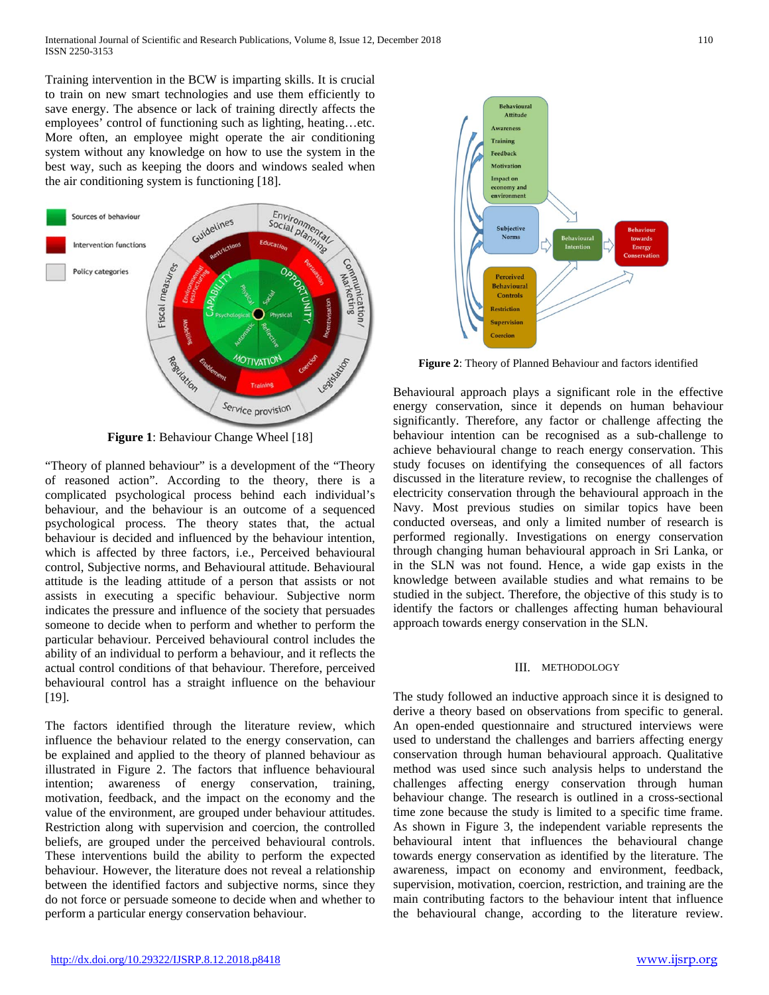Training intervention in the BCW is imparting skills. It is crucial to train on new smart technologies and use them efficiently to save energy. The absence or lack of training directly affects the employees' control of functioning such as lighting, heating…etc. More often, an employee might operate the air conditioning system without any knowledge on how to use the system in the best way, such as keeping the doors and windows sealed when the air conditioning system is functioning [18].



**Figure 1**: Behaviour Change Wheel [18]

"Theory of planned behaviour" is a development of the "Theory of reasoned action". According to the theory, there is a complicated psychological process behind each individual's behaviour, and the behaviour is an outcome of a sequenced psychological process. The theory states that, the actual behaviour is decided and influenced by the behaviour intention, which is affected by three factors, i.e., Perceived behavioural control, Subjective norms, and Behavioural attitude. Behavioural attitude is the leading attitude of a person that assists or not assists in executing a specific behaviour. Subjective norm indicates the pressure and influence of the society that persuades someone to decide when to perform and whether to perform the particular behaviour. Perceived behavioural control includes the ability of an individual to perform a behaviour, and it reflects the actual control conditions of that behaviour. Therefore, perceived behavioural control has a straight influence on the behaviour [19].

The factors identified through the literature review, which influence the behaviour related to the energy conservation, can be explained and applied to the theory of planned behaviour as illustrated in Figure 2. The factors that influence behavioural intention; awareness of energy conservation, training, motivation, feedback, and the impact on the economy and the value of the environment, are grouped under behaviour attitudes. Restriction along with supervision and coercion, the controlled beliefs, are grouped under the perceived behavioural controls. These interventions build the ability to perform the expected behaviour. However, the literature does not reveal a relationship between the identified factors and subjective norms, since they do not force or persuade someone to decide when and whether to perform a particular energy conservation behaviour.



**Figure 2**: Theory of Planned Behaviour and factors identified

Behavioural approach plays a significant role in the effective energy conservation, since it depends on human behaviour significantly. Therefore, any factor or challenge affecting the behaviour intention can be recognised as a sub-challenge to achieve behavioural change to reach energy conservation. This study focuses on identifying the consequences of all factors discussed in the literature review, to recognise the challenges of electricity conservation through the behavioural approach in the Navy. Most previous studies on similar topics have been conducted overseas, and only a limited number of research is performed regionally. Investigations on energy conservation through changing human behavioural approach in Sri Lanka, or in the SLN was not found. Hence, a wide gap exists in the knowledge between available studies and what remains to be studied in the subject. Therefore, the objective of this study is to identify the factors or challenges affecting human behavioural approach towards energy conservation in the SLN.

## III. METHODOLOGY

The study followed an inductive approach since it is designed to derive a theory based on observations from specific to general. An open-ended questionnaire and structured interviews were used to understand the challenges and barriers affecting energy conservation through human behavioural approach. Qualitative method was used since such analysis helps to understand the challenges affecting energy conservation through human behaviour change. The research is outlined in a cross-sectional time zone because the study is limited to a specific time frame. As shown in Figure 3, the independent variable represents the behavioural intent that influences the behavioural change towards energy conservation as identified by the literature. The awareness, impact on economy and environment, feedback, supervision, motivation, coercion, restriction, and training are the main contributing factors to the behaviour intent that influence the behavioural change, according to the literature review.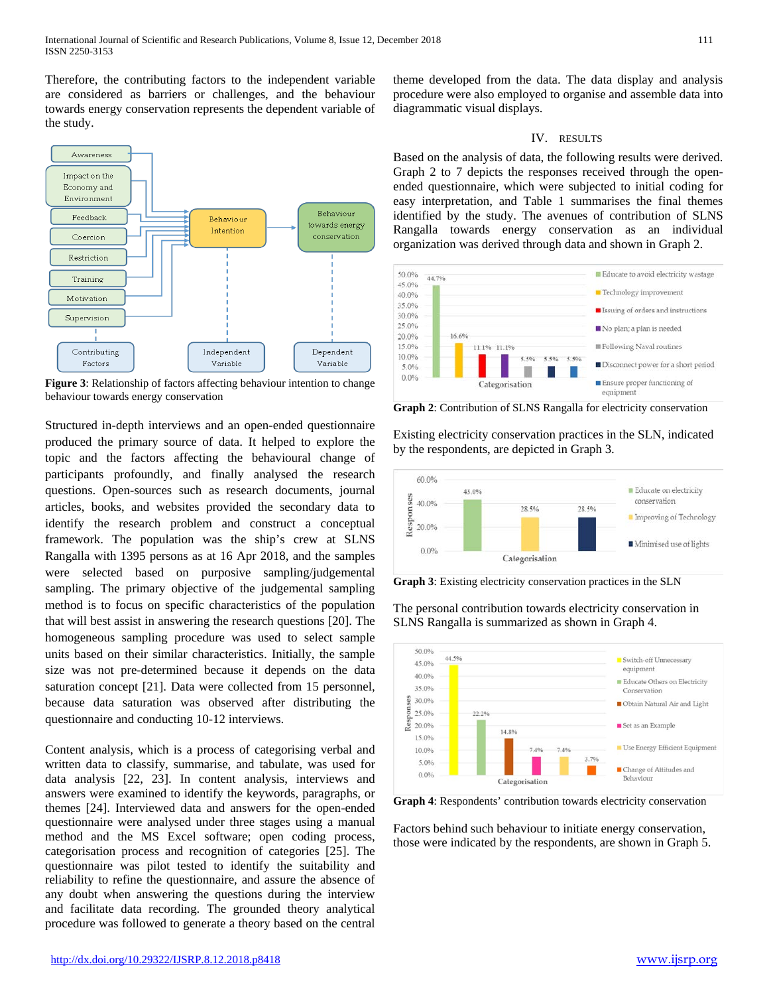Therefore, the contributing factors to the independent variable are considered as barriers or challenges, and the behaviour towards energy conservation represents the dependent variable of the study.



**Figure 3**: Relationship of factors affecting behaviour intention to change behaviour towards energy conservation

Structured in-depth interviews and an open-ended questionnaire produced the primary source of data. It helped to explore the topic and the factors affecting the behavioural change of participants profoundly, and finally analysed the research questions. Open-sources such as research documents, journal articles, books, and websites provided the secondary data to identify the research problem and construct a conceptual framework. The population was the ship's crew at SLNS Rangalla with 1395 persons as at 16 Apr 2018, and the samples were selected based on purposive sampling/judgemental sampling. The primary objective of the judgemental sampling method is to focus on specific characteristics of the population that will best assist in answering the research questions [20]. The homogeneous sampling procedure was used to select sample units based on their similar characteristics. Initially, the sample size was not pre-determined because it depends on the data saturation concept [21]. Data were collected from 15 personnel, because data saturation was observed after distributing the questionnaire and conducting 10-12 interviews.

Content analysis, which is a process of categorising verbal and written data to classify, summarise, and tabulate, was used for data analysis [22, 23]. In content analysis, interviews and answers were examined to identify the keywords, paragraphs, or themes [24]. Interviewed data and answers for the open-ended questionnaire were analysed under three stages using a manual method and the MS Excel software; open coding process, categorisation process and recognition of categories [25]. The questionnaire was pilot tested to identify the suitability and reliability to refine the questionnaire, and assure the absence of any doubt when answering the questions during the interview and facilitate data recording. The grounded theory analytical procedure was followed to generate a theory based on the central

theme developed from the data. The data display and analysis procedure were also employed to organise and assemble data into diagrammatic visual displays.

## IV. RESULTS

Based on the analysis of data, the following results were derived. Graph 2 to 7 depicts the responses received through the openended questionnaire, which were subjected to initial coding for easy interpretation, and Table 1 summarises the final themes identified by the study. The avenues of contribution of SLNS Rangalla towards energy conservation as an individual organization was derived through data and shown in Graph 2.



**Graph 2**: Contribution of SLNS Rangalla for electricity conservation

Existing electricity conservation practices in the SLN, indicated by the respondents, are depicted in Graph 3.



**Graph 3**: Existing electricity conservation practices in the SLN

The personal contribution towards electricity conservation in SLNS Rangalla is summarized as shown in Graph 4.



**Graph 4**: Respondents' contribution towards electricity conservation

Factors behind such behaviour to initiate energy conservation, those were indicated by the respondents, are shown in Graph 5.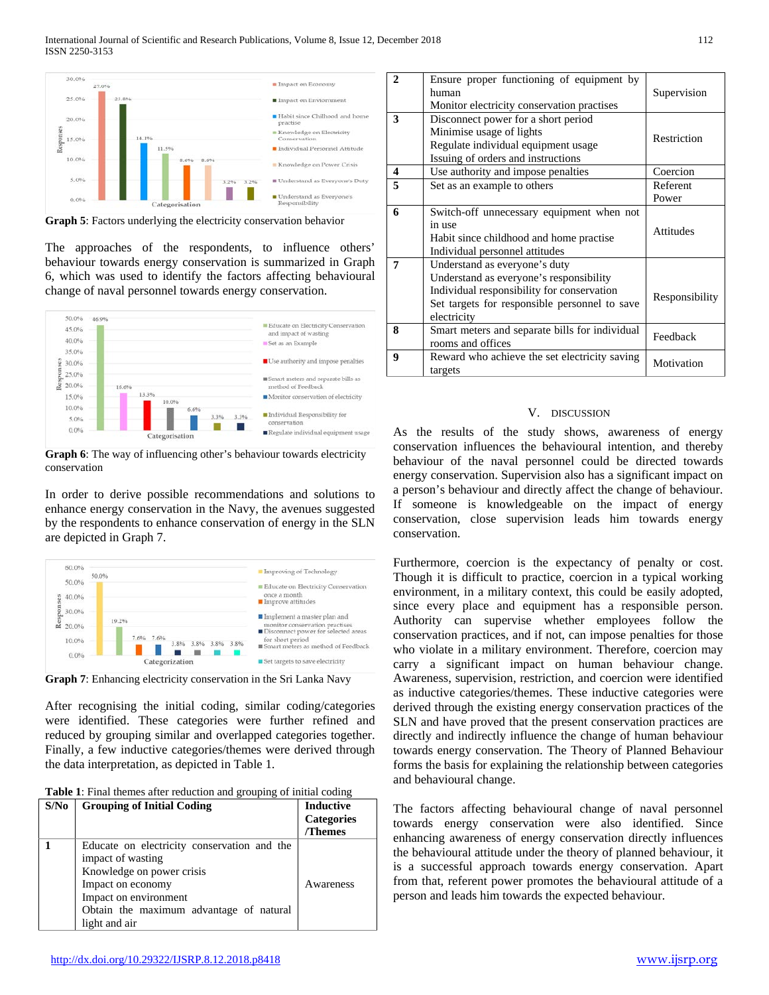



The approaches of the respondents, to influence others' behaviour towards energy conservation is summarized in Graph 6, which was used to identify the factors affecting behavioural change of naval personnel towards energy conservation.



**Graph 6**: The way of influencing other's behaviour towards electricity conservation

In order to derive possible recommendations and solutions to enhance energy conservation in the Navy, the avenues suggested by the respondents to enhance conservation of energy in the SLN are depicted in Graph 7.





After recognising the initial coding, similar coding/categories were identified. These categories were further refined and reduced by grouping similar and overlapped categories together. Finally, a few inductive categories/themes were derived through the data interpretation, as depicted in Table 1.

| S/N <sub>0</sub> | <b>Grouping of Initial Coding</b>           | <b>Inductive</b>  |
|------------------|---------------------------------------------|-------------------|
|                  |                                             | <b>Categories</b> |
|                  |                                             | /Themes           |
|                  | Educate on electricity conservation and the |                   |
|                  | impact of wasting                           |                   |
|                  | Knowledge on power crisis                   |                   |
|                  | Impact on economy                           | Awareness         |
|                  | Impact on environment                       |                   |
|                  | Obtain the maximum advantage of natural     |                   |
|                  | light and air                               |                   |

| $\mathbf{2}$ | Ensure proper functioning of equipment by<br>human<br>Monitor electricity conservation practises                                                                                       | Supervision       |
|--------------|----------------------------------------------------------------------------------------------------------------------------------------------------------------------------------------|-------------------|
| 3            | Disconnect power for a short period<br>Minimise usage of lights<br>Regulate individual equipment usage<br>Issuing of orders and instructions                                           | Restriction       |
| 4            | Use authority and impose penalties                                                                                                                                                     | Coercion          |
| 5            | Set as an example to others                                                                                                                                                            | Referent<br>Power |
| 6            | Switch-off unnecessary equipment when not<br>in use<br>Habit since childhood and home practise<br>Individual personnel attitudes                                                       | <b>Attitudes</b>  |
| 7            | Understand as everyone's duty<br>Understand as everyone's responsibility<br>Individual responsibility for conservation<br>Set targets for responsible personnel to save<br>electricity | Responsibility    |
| 8            | Smart meters and separate bills for individual<br>rooms and offices                                                                                                                    | Feedback          |
| 9            | Reward who achieve the set electricity saving<br>targets                                                                                                                               | Motivation        |

## V. DISCUSSION

As the results of the study shows, awareness of energy conservation influences the behavioural intention, and thereby behaviour of the naval personnel could be directed towards energy conservation. Supervision also has a significant impact on a person's behaviour and directly affect the change of behaviour. If someone is knowledgeable on the impact of energy conservation, close supervision leads him towards energy conservation.

Furthermore, coercion is the expectancy of penalty or cost. Though it is difficult to practice, coercion in a typical working environment, in a military context, this could be easily adopted, since every place and equipment has a responsible person. Authority can supervise whether employees follow the conservation practices, and if not, can impose penalties for those who violate in a military environment. Therefore, coercion may carry a significant impact on human behaviour change. Awareness, supervision, restriction, and coercion were identified as inductive categories/themes. These inductive categories were derived through the existing energy conservation practices of the SLN and have proved that the present conservation practices are directly and indirectly influence the change of human behaviour towards energy conservation. The Theory of Planned Behaviour forms the basis for explaining the relationship between categories and behavioural change.

The factors affecting behavioural change of naval personnel towards energy conservation were also identified. Since enhancing awareness of energy conservation directly influences the behavioural attitude under the theory of planned behaviour, it is a successful approach towards energy conservation. Apart from that, referent power promotes the behavioural attitude of a person and leads him towards the expected behaviour.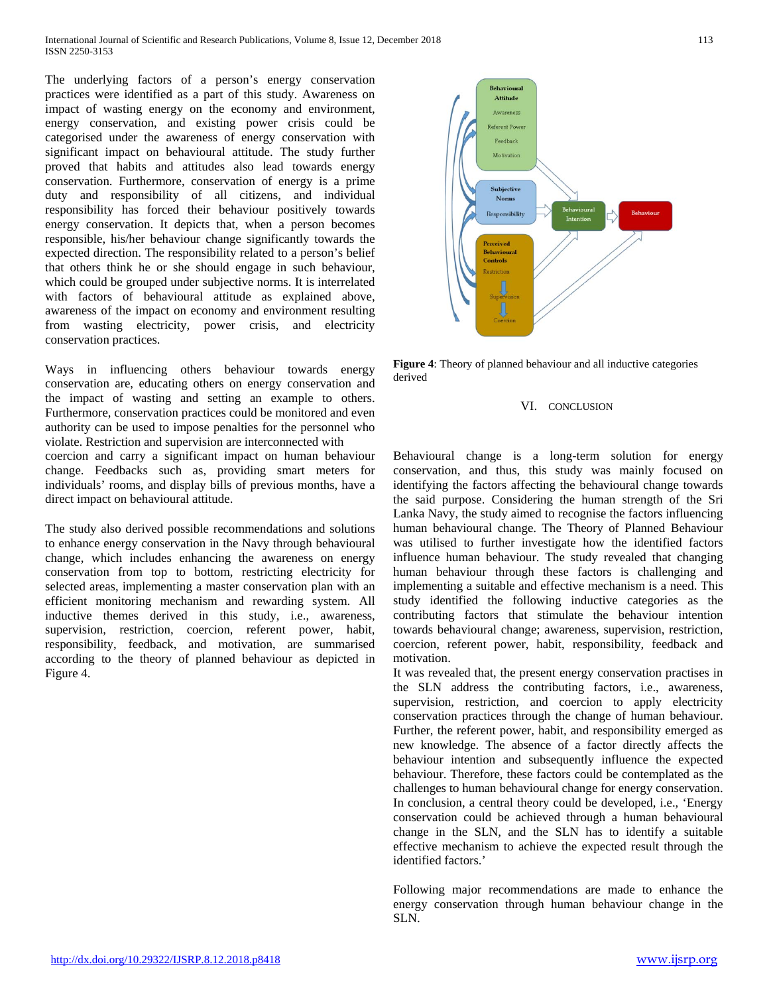The underlying factors of a person's energy conservation practices were identified as a part of this study. Awareness on impact of wasting energy on the economy and environment, energy conservation, and existing power crisis could be categorised under the awareness of energy conservation with significant impact on behavioural attitude. The study further proved that habits and attitudes also lead towards energy conservation. Furthermore, conservation of energy is a prime duty and responsibility of all citizens, and individual responsibility has forced their behaviour positively towards energy conservation. It depicts that, when a person becomes responsible, his/her behaviour change significantly towards the expected direction. The responsibility related to a person's belief that others think he or she should engage in such behaviour, which could be grouped under subjective norms. It is interrelated with factors of behavioural attitude as explained above, awareness of the impact on economy and environment resulting from wasting electricity, power crisis, and electricity conservation practices.

Ways in influencing others behaviour towards energy conservation are, educating others on energy conservation and the impact of wasting and setting an example to others. Furthermore, conservation practices could be monitored and even authority can be used to impose penalties for the personnel who violate. Restriction and supervision are interconnected with. coercion and carry a significant impact on human behaviour change. Feedbacks such as, providing smart meters for individuals' rooms, and display bills of previous months, have a direct impact on behavioural attitude.

The study also derived possible recommendations and solutions to enhance energy conservation in the Navy through behavioural change, which includes enhancing the awareness on energy conservation from top to bottom, restricting electricity for selected areas, implementing a master conservation plan with an efficient monitoring mechanism and rewarding system. All inductive themes derived in this study, i.e., awareness, supervision, restriction, coercion, referent power, habit, responsibility, feedback, and motivation, are summarised according to the theory of planned behaviour as depicted in Figure 4.



**Figure 4**: Theory of planned behaviour and all inductive categories derived

#### VI. CONCLUSION

Behavioural change is a long-term solution for energy conservation, and thus, this study was mainly focused on identifying the factors affecting the behavioural change towards the said purpose. Considering the human strength of the Sri Lanka Navy, the study aimed to recognise the factors influencing human behavioural change. The Theory of Planned Behaviour was utilised to further investigate how the identified factors influence human behaviour. The study revealed that changing human behaviour through these factors is challenging and implementing a suitable and effective mechanism is a need. This study identified the following inductive categories as the contributing factors that stimulate the behaviour intention towards behavioural change; awareness, supervision, restriction, coercion, referent power, habit, responsibility, feedback and motivation.

It was revealed that, the present energy conservation practises in the SLN address the contributing factors, i.e., awareness, supervision, restriction, and coercion to apply electricity conservation practices through the change of human behaviour. Further, the referent power, habit, and responsibility emerged as new knowledge. The absence of a factor directly affects the behaviour intention and subsequently influence the expected behaviour. Therefore, these factors could be contemplated as the challenges to human behavioural change for energy conservation. In conclusion, a central theory could be developed, i.e., 'Energy conservation could be achieved through a human behavioural change in the SLN, and the SLN has to identify a suitable effective mechanism to achieve the expected result through the identified factors.'

Following major recommendations are made to enhance the energy conservation through human behaviour change in the SLN.